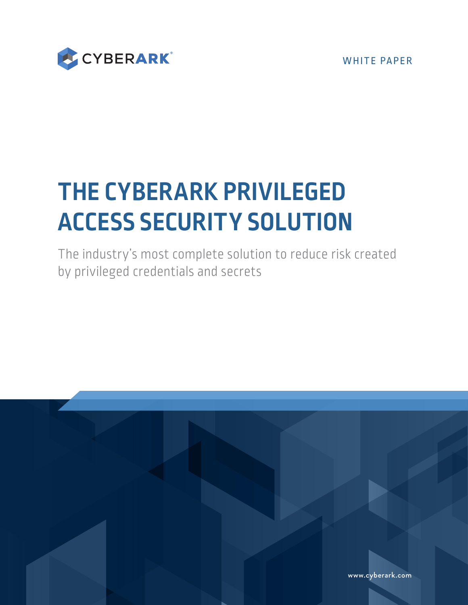WHITE PAPER



# **THE CYBERARK PRIVILEGED ACCESS SECURITY SOLUTION**

The industry's most complete solution to reduce risk created by privileged credentials and secrets

[www.cyberark.com](http://www.cyberark.com)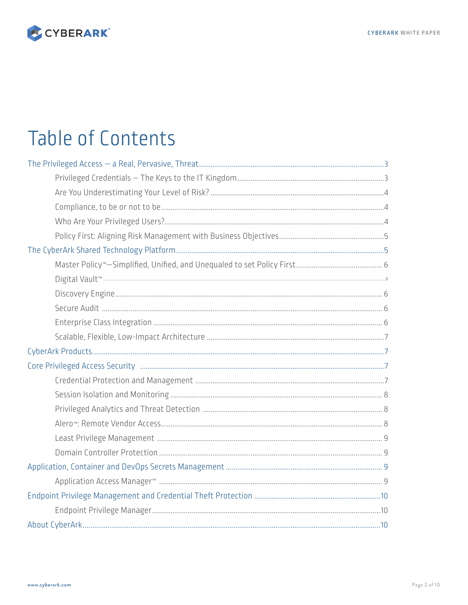

# **Table of Contents**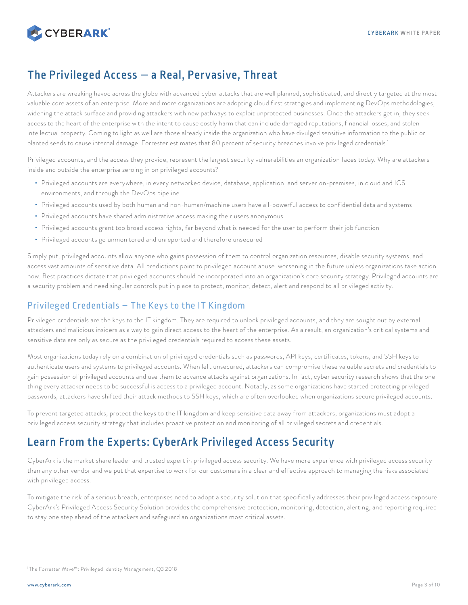<span id="page-2-0"></span>

# The Privileged Access — a Real, Pervasive, Threat

Attackers are wreaking havoc across the globe with advanced cyber attacks that are well planned, sophisticated, and directly targeted at the most valuable core assets of an enterprise. More and more organizations are adopting cloud first strategies and implementing DevOps methodologies, widening the attack surface and providing attackers with new pathways to exploit unprotected businesses. Once the attackers get in, they seek access to the heart of the enterprise with the intent to cause costly harm that can include damaged reputations, financial losses, and stolen intellectual property. Coming to light as well are those already inside the organization who have divulged sensitive information to the public or planted seeds to cause internal damage. Forrester estimates that 80 percent of security breaches involve privileged credentials.<sup>1</sup>

Privileged accounts, and the access they provide, represent the largest security vulnerabilities an organization faces today. Why are attackers inside and outside the enterprise zeroing in on privileged accounts?

- Privileged accounts are everywhere, in every networked device, database, application, and server on-premises, in cloud and ICS environments, and through the DevOps pipeline
- Privileged accounts used by both human and non-human/machine users have all-powerful access to confidential data and systems
- Privileged accounts have shared administrative access making their users anonymous
- Privileged accounts grant too broad access rights, far beyond what is needed for the user to perform their job function
- Privileged accounts go unmonitored and unreported and therefore unsecured

Simply put, privileged accounts allow anyone who gains possession of them to control organization resources, disable security systems, and access vast amounts of sensitive data. All predictions point to privileged account abuse worsening in the future unless organizations take action now. Best practices dictate that privileged accounts should be incorporated into an organization's core security strategy. Privileged accounts are a security problem and need singular controls put in place to protect, monitor, detect, alert and respond to all privileged activity.

# Privileged Credentials – The Keys to the IT Kingdom

Privileged credentials are the keys to the IT kingdom. They are required to unlock privileged accounts, and they are sought out by external attackers and malicious insiders as a way to gain direct access to the heart of the enterprise. As a result, an organization's critical systems and sensitive data are only as secure as the privileged credentials required to access these assets.

Most organizations today rely on a combination of privileged credentials such as passwords, API keys, certificates, tokens, and SSH keys to authenticate users and systems to privileged accounts. When left unsecured, attackers can compromise these valuable secrets and credentials to gain possession of privileged accounts and use them to advance attacks against organizations. In fact, cyber security research shows that the one thing every attacker needs to be successful is access to a privileged account. Notably, as some organizations have started protecting privileged passwords, attackers have shifted their attack methods to SSH keys, which are often overlooked when organizations secure privileged accounts.

To prevent targeted attacks, protect the keys to the IT kingdom and keep sensitive data away from attackers, organizations must adopt a privileged access security strategy that includes proactive protection and monitoring of all privileged secrets and credentials.

# Learn From the Experts: CyberArk Privileged Access Security

CyberArk is the market share leader and trusted expert in privileged access security. We have more experience with privileged access security than any other vendor and we put that expertise to work for our customers in a clear and effective approach to managing the risks associated with privileged access.

To mitigate the risk of a serious breach, enterprises need to adopt a security solution that specifically addresses their privileged access exposure. CyberArk's Privileged Access Security Solution provides the comprehensive protection, monitoring, detection, alerting, and reporting required to stay one step ahead of the attackers and safeguard an organizations most critical assets.

<sup>1</sup> The Forrester Wave™: Privileged Identity Management, Q3 2018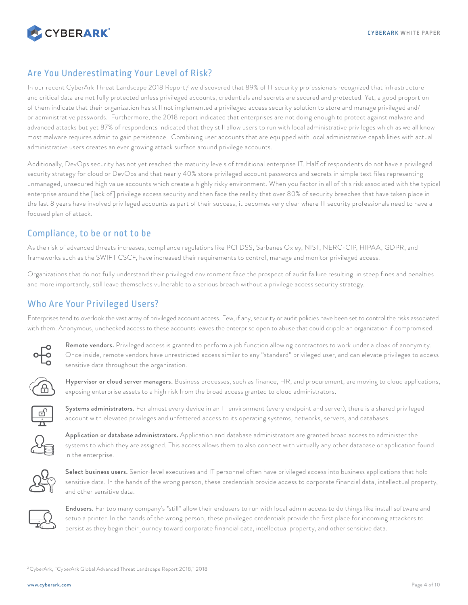<span id="page-3-0"></span>

## Are You Underestimating Your Level of Risk?

In our recent CyberArk Threat Landscape 2018 Report,<sup>2</sup> we discovered that 89% of IT security professionals recognized that infrastructure and critical data are not fully protected unless privileged accounts, credentials and secrets are secured and protected. Yet, a good proportion of them indicate that their organization has still not implemented a privileged access security solution to store and manage privileged and/ or administrative passwords. Furthermore, the 2018 report indicated that enterprises are not doing enough to protect against malware and advanced attacks but yet 87% of respondents indicated that they still allow users to run with local administrative privileges which as we all know most malware requires admin to gain persistence. Combining user accounts that are equipped with local administrative capabilities with actual administrative users creates an ever growing attack surface around privilege accounts.

Additionally, DevOps security has not yet reached the maturity levels of traditional enterprise IT. Half of respondents do not have a privileged security strategy for cloud or DevOps and that nearly 40% store privileged account passwords and secrets in simple text files representing unmanaged, unsecured high value accounts which create a highly risky environment. When you factor in all of this risk associated with the typical enterprise around the [lack of] privilege access security and then face the reality that over 80% of security breeches that have taken place in the last 8 years have involved privileged accounts as part of their success, it becomes very clear where IT security professionals need to have a focused plan of attack.

## Compliance, to be or not to be

As the risk of advanced threats increases, compliance regulations like PCI DSS, Sarbanes Oxley, NIST, NERC-CIP, HIPAA, GDPR, and frameworks such as the SWIFT CSCF, have increased their requirements to control, manage and monitor privileged access.

Organizations that do not fully understand their privileged environment face the prospect of audit failure resulting in steep fines and penalties and more importantly, still leave themselves vulnerable to a serious breach without a privilege access security strategy.

# Who Are Your Privileged Users?

Enterprises tend to overlook the vast array of privileged account access. Few, if any, security or audit policies have been set to control the risks associated with them. Anonymous, unchecked access to these accounts leaves the enterprise open to abuse that could cripple an organization if compromised.



Remote vendors. Privileged access is granted to perform a job function allowing contractors to work under a cloak of anonymity. Once inside, remote vendors have unrestricted access similar to any "standard" privileged user, and can elevate privileges to access sensitive data throughout the organization.



Hypervisor or cloud server managers. Business processes, such as finance, HR, and procurement, are moving to cloud applications, exposing enterprise assets to a high risk from the broad access granted to cloud administrators.



Systems administrators. For almost every device in an IT environment (every endpoint and server), there is a shared privileged account with elevated privileges and unfettered access to its operating systems, networks, servers, and databases.



Application or database administrators. Application and database administrators are granted broad access to administer the systems to which they are assigned. This access allows them to also connect with virtually any other database or application found in the enterprise.



Select business users. Senior-level executives and IT personnel often have privileged access into business applications that hold sensitive data. In the hands of the wrong person, these credentials provide access to corporate financial data, intellectual property, and other sensitive data.



Endusers. Far too many company's \*still\* allow their endusers to run with local admin access to do things like install software and setup a printer. In the hands of the wrong person, these privileged credentials provide the first place for incoming attackers to persist as they begin their journey toward corporate financial data, intellectual property, and other sensitive data.

<sup>2</sup> CyberArk, "CyberArk Global Advanced Threat Landscape Report 2018," 2018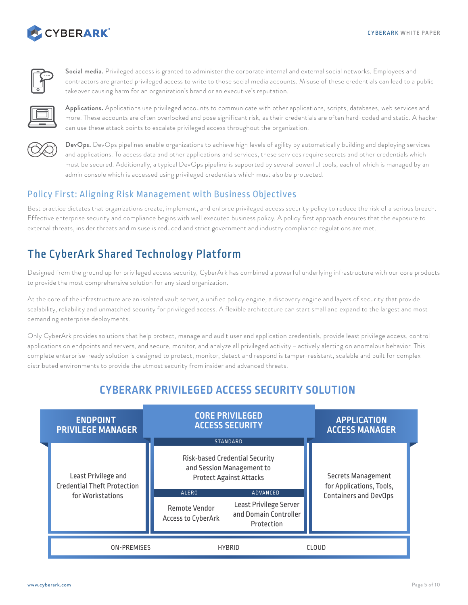<span id="page-4-0"></span>



Social media. Privileged access is granted to administer the corporate internal and external social networks. Employees and contractors are granted privileged access to write to those social media accounts. Misuse of these credentials can lead to a public takeover causing harm for an organization's brand or an executive's reputation.



Applications. Applications use privileged accounts to communicate with other applications, scripts, databases, web services and more. These accounts are often overlooked and pose significant risk, as their credentials are often hard-coded and static. A hacker can use these attack points to escalate privileged access throughout the organization.



DevOps. DevOps pipelines enable organizations to achieve high levels of agility by automatically building and deploying services and applications. To access data and other applications and services, these services require secrets and other credentials which must be secured. Additionally, a typical DevOps pipeline is supported by several powerful tools, each of which is managed by an admin console which is accessed using privileged credentials which must also be protected.

# Policy First: Aligning Risk Management with Business Objectives

Best practice dictates that organizations create, implement, and enforce privileged access security policy to reduce the risk of a serious breach. Effective enterprise security and compliance begins with well executed business policy. A policy first approach ensures that the exposure to external threats, insider threats and misuse is reduced and strict government and industry compliance regulations are met.

# The CyberArk Shared Technology Platform

Designed from the ground up for privileged access security, CyberArk has combined a powerful underlying infrastructure with our core products to provide the most comprehensive solution for any sized organization.

At the core of the infrastructure are an isolated vault server, a unified policy engine, a discovery engine and layers of security that provide scalability, reliability and unmatched security for privileged access. A flexible architecture can start small and expand to the largest and most demanding enterprise deployments.

Only CyberArk provides solutions that help protect, manage and audit user and application credentials, provide least privilege access, control applications on endpoints and servers, and secure, monitor, and analyze all privileged activity – actively alerting on anomalous behavior. This complete enterprise-ready solution is designed to protect, monitor, detect and respond is tamper-resistant, scalable and built for complex distributed environments to provide the utmost security from insider and advanced threats.

# **CYBERARK PRIVILEGED ACCESS SECURITY SOLUTION**

| <b>ENDPOINT</b><br><b>PRIVILEGE MANAGER</b>                                   |  |                                                     | <b>CORE PRIVILEGED</b><br><b>ACCESS SECURITY</b>                                                                                                                                                     | <b>APPLICATION</b><br><b>ACCESS MANAGER</b>                                           |
|-------------------------------------------------------------------------------|--|-----------------------------------------------------|------------------------------------------------------------------------------------------------------------------------------------------------------------------------------------------------------|---------------------------------------------------------------------------------------|
| Least Privilege and<br><b>Credential Theft Protection</b><br>for Workstations |  | <b>ALERO</b><br>Remote Vendor<br>Access to CyberArk | <b>STANDARD</b><br>Risk-based Credential Security<br>and Session Management to<br><b>Protect Against Attacks</b><br><b>ADVANCED</b><br>Least Privilege Server<br>and Domain Controller<br>Protection | <b>Secrets Management</b><br>for Applications, Tools,<br><b>Containers and DevOps</b> |
| <b>ON-PREMISES</b>                                                            |  | <b>HYBRID</b>                                       |                                                                                                                                                                                                      | CLOUD                                                                                 |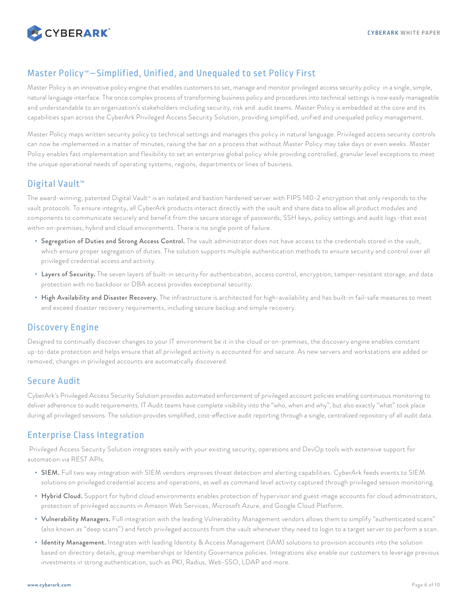<span id="page-5-0"></span>

# Master Policy™—Simplified, Unified, and Unequaled to set Policy First

Master Policy is an innovative policy engine that enables customers to set, manage and monitor privileged access security policy in a single, simple, natural language interface. The once complex process of transforming business policy and procedures into technical settings is now easily manageable and understandable to an organization's stakeholders including security, risk and audit teams. Master Policy is embedded at the core and its capabilities span across the CyberArk Privileged Access Security Solution, providing simplified, unified and unequaled policy management.

Master Policy maps written security policy to technical settings and manages this policy in natural language. Privileged access security controls can now be implemented in a matter of minutes, raising the bar on a process that without Master Policy may take days or even weeks. Master Policy enables fast implementation and flexibility to set an enterprise global policy while providing controlled, granular level exceptions to meet the unique operational needs of operating systems, regions, departments or lines of business.

# Digital Vault<sup>™</sup>

The award-winning, patented Digital Vault™ is an isolated and bastion hardened server with FIPS 140-2 encryption that only responds to the vault protocols. To ensure integrity, all CyberArk products interact directly with the vault and share data to allow all product modules and components to communicate securely and benefit from the secure storage of passwords, SSH keys, policy settings and audit logs–that exist within on-premises, hybrid and cloud environments. There is no single point of failure.

- Segregation of Duties and Strong Access Control. The vault administrator does not have access to the credentials stored in the vault, which ensure proper segregation of duties. The solution supports multiple authentication methods to ensure security and control over all privileged credential access and activity.
- Layers of Security. The seven layers of built-in security for authentication, access control, encryption, tamper-resistant storage, and data protection with no backdoor or DBA access provides exceptional security.
- High Availability and Disaster Recovery. The infrastructure is architected for high-availability and has built-in fail-safe measures to meet and exceed disaster recovery requirements, including secure backup and simple recovery.

# Discovery Engine

Designed to continually discover changes to your IT environment be it in the cloud or on-premises, the discovery engine enables constant up-to-date protection and helps ensure that all privileged activity is accounted for and secure. As new servers and workstations are added or removed, changes in privileged accounts are automatically discovered.

## Secure Audit

CyberArk's Privileged Access Security Solution provides automated enforcement of privileged account policies enabling continuous monitoring to deliver adherence to audit requirements. IT Audit teams have complete visibility into the "who, when and why", but also exactly "what" took place during all privileged sessions. The solution provides simplified, cost-effective audit reporting through a single, centralized repository of all audit data.

# Enterprise Class Integration

 Privileged Access Security Solution integrates easily with your existing security, operations and DevOp tools with extensive support for automation via REST APIs.

- SIEM. Full two way integration with SIEM vendors improves threat detection and alerting capabilities. CyberArk feeds events to SIEM solutions on privileged credential access and operations, as well as command level activity captured through privileged session monitoring.
- Hybrid Cloud. Support for hybrid cloud environments enables protection of hypervisor and guest image accounts for cloud administrators, protection of privileged accounts in Amazon Web Services, Microsoft Azure, and Google Cloud Platform.
- Vulnerability Managers. Full integration with the leading Vulnerability Management vendors allows them to simplify "authenticated scans" (also known as "deep scans") and fetch privileged accounts from the vault whenever they need to login to a target server to perform a scan.
- Identity Management. Integrates with leading Identity & Access Management (IAM) solutions to provision accounts into the solution based on directory details, group memberships or Identity Governance policies. Integrations also enable our customers to leverage previous investments in strong authentication, such as PKI, Radius, Web-SSO, LDAP and more.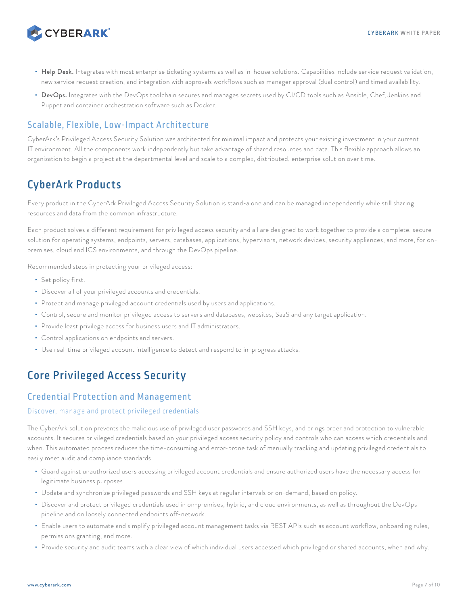<span id="page-6-0"></span>

- Help Desk. Integrates with most enterprise ticketing systems as well as in-house solutions. Capabilities include service request validation, new service request creation, and integration with approvals workflows such as manager approval (dual control) and timed availability.
- DevOps. Integrates with the DevOps toolchain secures and manages secrets used by CI/CD tools such as Ansible, Chef, Jenkins and Puppet and container orchestration software such as Docker.

## Scalable, Flexible, Low-Impact Architecture

CyberArk's Privileged Access Security Solution was architected for minimal impact and protects your existing investment in your current IT environment. All the components work independently but take advantage of shared resources and data. This flexible approach allows an organization to begin a project at the departmental level and scale to a complex, distributed, enterprise solution over time.

# CyberArk Products

Every product in the CyberArk Privileged Access Security Solution is stand-alone and can be managed independently while still sharing resources and data from the common infrastructure.

Each product solves a different requirement for privileged access security and all are designed to work together to provide a complete, secure solution for operating systems, endpoints, servers, databases, applications, hypervisors, network devices, security appliances, and more, for onpremises, cloud and ICS environments, and through the DevOps pipeline.

Recommended steps in protecting your privileged access:

- Set policy first.
- Discover all of your privileged accounts and credentials.
- Protect and manage privileged account credentials used by users and applications.
- Control, secure and monitor privileged access to servers and databases, websites, SaaS and any target application.
- Provide least privilege access for business users and IT administrators.
- Control applications on endpoints and servers.
- Use real-time privileged account intelligence to detect and respond to in-progress attacks.

# Core Privileged Access Security

# Credential Protection and Management

#### Discover, manage and protect privileged credentials

The CyberArk solution prevents the malicious use of privileged user passwords and SSH keys, and brings order and protection to vulnerable accounts. It secures privileged credentials based on your privileged access security policy and controls who can access which credentials and when. This automated process reduces the time-consuming and error-prone task of manually tracking and updating privileged credentials to easily meet audit and compliance standards.

- Guard against unauthorized users accessing privileged account credentials and ensure authorized users have the necessary access for legitimate business purposes.
- Update and synchronize privileged passwords and SSH keys at regular intervals or on-demand, based on policy.
- Discover and protect privileged credentials used in on-premises, hybrid, and cloud environments, as well as throughout the DevOps pipeline and on loosely connected endpoints off-network.
- Enable users to automate and simplify privileged account management tasks via REST APIs such as account workflow, onboarding rules, permissions granting, and more.
- Provide security and audit teams with a clear view of which individual users accessed which privileged or shared accounts, when and why.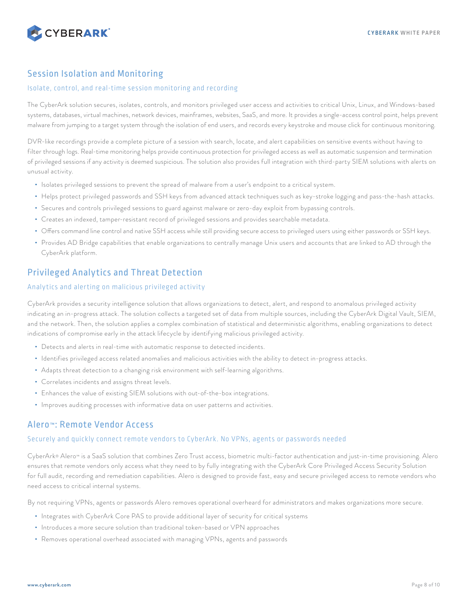<span id="page-7-0"></span>

## Session Isolation and Monitoring

#### Isolate, control, and real-time session monitoring and recording

The CyberArk solution secures, isolates, controls, and monitors privileged user access and activities to critical Unix, Linux, and Windows-based systems, databases, virtual machines, network devices, mainframes, websites, SaaS, and more. It provides a single-access control point, helps prevent malware from jumping to a target system through the isolation of end users, and records every keystroke and mouse click for continuous monitoring.

DVR-like recordings provide a complete picture of a session with search, locate, and alert capabilities on sensitive events without having to filter through logs. Real-time monitoring helps provide continuous protection for privileged access as well as automatic suspension and termination of privileged sessions if any activity is deemed suspicious. The solution also provides full integration with third-party SIEM solutions with alerts on unusual activity.

- Isolates privileged sessions to prevent the spread of malware from a user's endpoint to a critical system.
- Helps protect privileged passwords and SSH keys from advanced attack techniques such as key-stroke logging and pass-the-hash attacks.
- Secures and controls privileged sessions to guard against malware or zero-day exploit from bypassing controls.
- Creates an indexed, tamper-resistant record of privileged sessions and provides searchable metadata.
- Offers command line control and native SSH access while still providing secure access to privileged users using either passwords or SSH keys.
- Provides AD Bridge capabilities that enable organizations to centrally manage Unix users and accounts that are linked to AD through the CyberArk platform.

## Privileged Analytics and Threat Detection

#### Analytics and alerting on malicious privileged activity

CyberArk provides a security intelligence solution that allows organizations to detect, alert, and respond to anomalous privileged activity indicating an in-progress attack. The solution collects a targeted set of data from multiple sources, including the CyberArk Digital Vault, SIEM, and the network. Then, the solution applies a complex combination of statistical and deterministic algorithms, enabling organizations to detect indications of compromise early in the attack lifecycle by identifying malicious privileged activity.

- Detects and alerts in real-time with automatic response to detected incidents.
- Identifies privileged access related anomalies and malicious activities with the ability to detect in-progress attacks.
- Adapts threat detection to a changing risk environment with self-learning algorithms.
- Correlates incidents and assigns threat levels.
- Enhances the value of existing SIEM solutions with out-of-the-box integrations.
- Improves auditing processes with informative data on user patterns and activities.

### Alero™: Remote Vendor Access

#### Securely and quickly connect remote vendors to CyberArk. No VPNs, agents or passwords needed

CyberArk® Alero™ is a SaaS solution that combines Zero Trust access, biometric multi-factor authentication and just-in-time provisioning. Alero ensures that remote vendors only access what they need to by fully integrating with the CyberArk Core Privileged Access Security Solution for full audit, recording and remediation capabilities. Alero is designed to provide fast, easy and secure privileged access to remote vendors who need access to critical internal systems.

By not requiring VPNs, agents or passwords Alero removes operational overheard for administrators and makes organizations more secure.

- Integrates with CyberArk Core PAS to provide additional layer of security for critical systems
- Introduces a more secure solution than traditional token-based or VPN approaches
- Removes operational overhead associated with managing VPNs, agents and passwords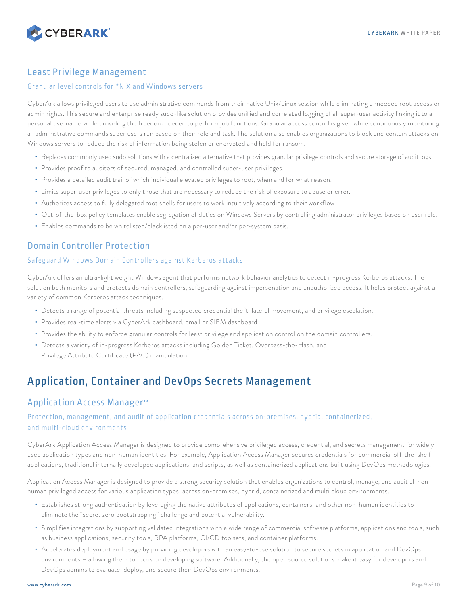<span id="page-8-0"></span>

## Least Privilege Management

#### Granular level controls for \*NIX and Windows servers

CyberArk allows privileged users to use administrative commands from their native Unix/Linux session while eliminating unneeded root access or admin rights. This secure and enterprise ready sudo-like solution provides unified and correlated logging of all super-user activity linking it to a personal username while providing the freedom needed to perform job functions. Granular access control is given while continuously monitoring all administrative commands super users run based on their role and task. The solution also enables organizations to block and contain attacks on Windows servers to reduce the risk of information being stolen or encrypted and held for ransom.

- Replaces commonly used sudo solutions with a centralized alternative that provides granular privilege controls and secure storage of audit logs.
- Provides proof to auditors of secured, managed, and controlled super-user privileges.
- Provides a detailed audit trail of which individual elevated privileges to root, when and for what reason.
- Limits super-user privileges to only those that are necessary to reduce the risk of exposure to abuse or error.
- Authorizes access to fully delegated root shells for users to work intuitively according to their workflow.
- Out-of-the-box policy templates enable segregation of duties on Windows Servers by controlling administrator privileges based on user role.
- Enables commands to be whitelisted/blacklisted on a per-user and/or per-system basis.

# Domain Controller Protection

#### Safeguard Windows Domain Controllers against Kerberos attacks

CyberArk offers an ultra-light weight Windows agent that performs network behavior analytics to detect in-progress Kerberos attacks. The solution both monitors and protects domain controllers, safeguarding against impersonation and unauthorized access. It helps protect against a variety of common Kerberos attack techniques.

- Detects a range of potential threats including suspected credential theft, lateral movement, and privilege escalation.
- Provides real-time alerts via CyberArk dashboard, email or SIEM dashboard.
- Provides the ability to enforce granular controls for least privilege and application control on the domain controllers.
- Detects a variety of in-progress Kerberos attacks including Golden Ticket, Overpass-the-Hash, and Privilege Attribute Certificate (PAC) manipulation.

# Application, Container and DevOps Secrets Management

### Application Access Manager™

#### Protection, management, and audit of application credentials across on-premises, hybrid, containerized, and multi-cloud environments

CyberArk Application Access Manager is designed to provide comprehensive privileged access, credential, and secrets management for widely used application types and non-human identities. For example, Application Access Manager secures credentials for commercial off-the-shelf applications, traditional internally developed applications, and scripts, as well as containerized applications built using DevOps methodologies.

Application Access Manager is designed to provide a strong security solution that enables organizations to control, manage, and audit all nonhuman privileged access for various application types, across on-premises, hybrid, containerized and multi cloud environments.

- Establishes strong authentication by leveraging the native attributes of applications, containers, and other non-human identities to eliminate the "secret zero bootstrapping" challenge and potential vulnerability.
- Simplifies integrations by supporting validated integrations with a wide range of commercial software platforms, applications and tools, such as business applications, security tools, RPA platforms, CI/CD toolsets, and container platforms.
- Accelerates deployment and usage by providing developers with an easy-to-use solution to secure secrets in application and DevOps environments – allowing them to focus on developing software. Additionally, the open source solutions make it easy for developers and DevOps admins to evaluate, deploy, and secure their DevOps environments.